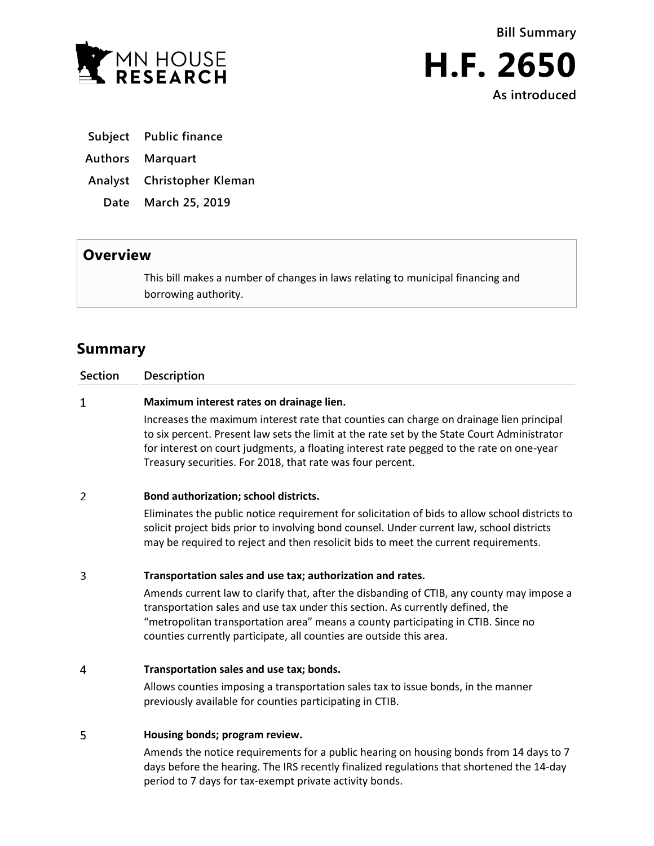



**As introduced**

- **Subject Public finance**
- **Authors Marquart**
- **Analyst Christopher Kleman**
	- **Date March 25, 2019**

## **Overview**

This bill makes a number of changes in laws relating to municipal financing and borrowing authority.

# **Summary**

| <b>Section</b> | <b>Description</b>                                                                                                                                                                                                                                                                                                                               |
|----------------|--------------------------------------------------------------------------------------------------------------------------------------------------------------------------------------------------------------------------------------------------------------------------------------------------------------------------------------------------|
| 1              | Maximum interest rates on drainage lien.                                                                                                                                                                                                                                                                                                         |
|                | Increases the maximum interest rate that counties can charge on drainage lien principal<br>to six percent. Present law sets the limit at the rate set by the State Court Administrator<br>for interest on court judgments, a floating interest rate pegged to the rate on one-year<br>Treasury securities. For 2018, that rate was four percent. |
| 2              | Bond authorization; school districts.                                                                                                                                                                                                                                                                                                            |
|                | r Desets and a constitution of the constitution of the constitution of the domestic of the constitution density                                                                                                                                                                                                                                  |

Eliminates the public notice requirement for solicitation of bids to allow school districts to solicit project bids prior to involving bond counsel. Under current law, school districts may be required to reject and then resolicit bids to meet the current requirements.

#### $\overline{3}$ **Transportation sales and use tax; authorization and rates.**

Amends current law to clarify that, after the disbanding of CTIB, any county may impose a transportation sales and use tax under this section. As currently defined, the "metropolitan transportation area" means a county participating in CTIB. Since no counties currently participate, all counties are outside this area.

#### $\overline{4}$ **Transportation sales and use tax; bonds.**

Allows counties imposing a transportation sales tax to issue bonds, in the manner previously available for counties participating in CTIB.

#### 5 **Housing bonds; program review.**

Amends the notice requirements for a public hearing on housing bonds from 14 days to 7 days before the hearing. The IRS recently finalized regulations that shortened the 14-day period to 7 days for tax-exempt private activity bonds.